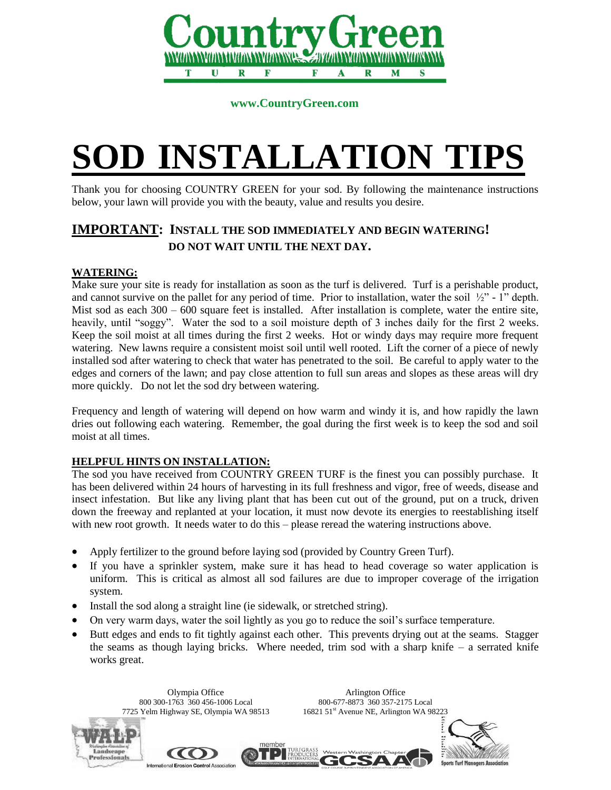

 **www.CountryGreen.com**

# **SOD INSTALLATION TIPS**

Thank you for choosing COUNTRY GREEN for your sod. By following the maintenance instructions below, your lawn will provide you with the beauty, value and results you desire.

# **IMPORTANT: INSTALL THE SOD IMMEDIATELY AND BEGIN WATERING! DO NOT WAIT UNTIL THE NEXT DAY.**

## **WATERING:**

Make sure your site is ready for installation as soon as the turf is delivered. Turf is a perishable product, and cannot survive on the pallet for any period of time. Prior to installation, water the soil  $\frac{1}{2}$ " - 1" depth. Mist sod as each  $300 - 600$  square feet is installed. After installation is complete, water the entire site, heavily, until "soggy". Water the sod to a soil moisture depth of 3 inches daily for the first 2 weeks. Keep the soil moist at all times during the first 2 weeks. Hot or windy days may require more frequent watering. New lawns require a consistent moist soil until well rooted. Lift the corner of a piece of newly installed sod after watering to check that water has penetrated to the soil. Be careful to apply water to the edges and corners of the lawn; and pay close attention to full sun areas and slopes as these areas will dry more quickly. Do not let the sod dry between watering.

Frequency and length of watering will depend on how warm and windy it is, and how rapidly the lawn dries out following each watering. Remember, the goal during the first week is to keep the sod and soil moist at all times.

# **HELPFUL HINTS ON INSTALLATION:**

The sod you have received from COUNTRY GREEN TURF is the finest you can possibly purchase. It has been delivered within 24 hours of harvesting in its full freshness and vigor, free of weeds, disease and insect infestation. But like any living plant that has been cut out of the ground, put on a truck, driven down the freeway and replanted at your location, it must now devote its energies to reestablishing itself with new root growth. It needs water to do this – please reread the watering instructions above.

- Apply fertilizer to the ground before laying sod (provided by Country Green Turf).
- If you have a sprinkler system, make sure it has head to head coverage so water application is uniform. This is critical as almost all sod failures are due to improper coverage of the irrigation system.
- Install the sod along a straight line (ie sidewalk, or stretched string).
- On very warm days, water the soil lightly as you go to reduce the soil's surface temperature.
- Butt edges and ends to fit tightly against each other. This prevents drying out at the seams. Stagger the seams as though laying bricks. Where needed, trim sod with a sharp knife – a serrated knife works great.